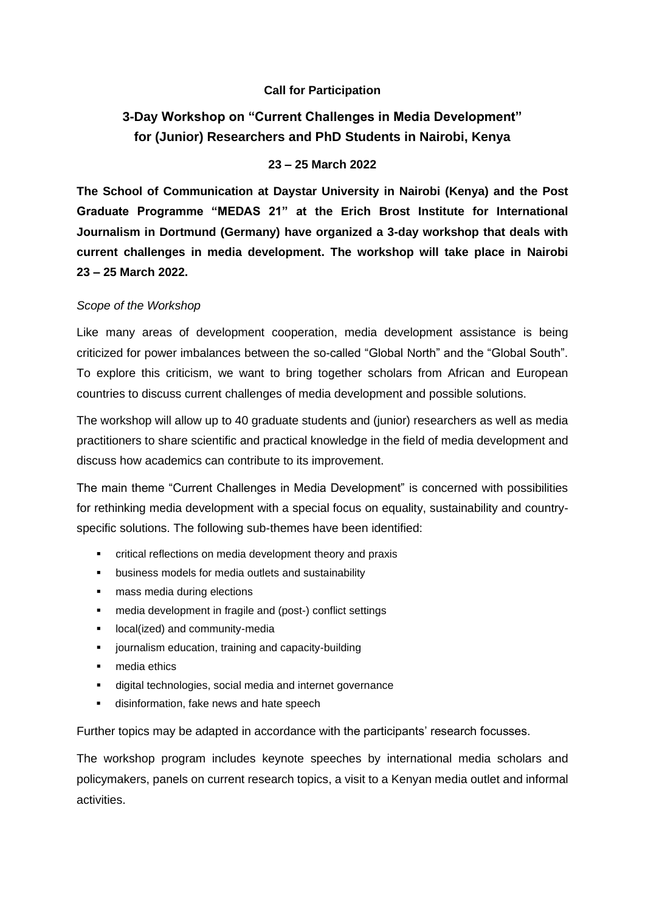## **Call for Participation**

# **3-Day Workshop on "Current Challenges in Media Development" for (Junior) Researchers and PhD Students in Nairobi, Kenya**

## **23 – 25 March 2022**

**The School of Communication at Daystar University in Nairobi (Kenya) and the Post Graduate Programme "MEDAS 21" at the Erich Brost Institute for International Journalism in Dortmund (Germany) have organized a 3-day workshop that deals with current challenges in media development. The workshop will take place in Nairobi 23 – 25 March 2022.**

#### *Scope of the Workshop*

Like many areas of development cooperation, media development assistance is being criticized for power imbalances between the so-called "Global North" and the "Global South". To explore this criticism, we want to bring together scholars from African and European countries to discuss current challenges of media development and possible solutions.

The workshop will allow up to 40 graduate students and (junior) researchers as well as media practitioners to share scientific and practical knowledge in the field of media development and discuss how academics can contribute to its improvement.

The main theme "Current Challenges in Media Development" is concerned with possibilities for rethinking media development with a special focus on equality, sustainability and countryspecific solutions. The following sub-themes have been identified:

- critical reflections on media development theory and praxis
- business models for media outlets and sustainability
- mass media during elections
- media development in fragile and (post-) conflict settings
- **■** local(ized) and community-media
- journalism education, training and capacity-building
- media ethics
- digital technologies, social media and internet governance
- disinformation, fake news and hate speech

Further topics may be adapted in accordance with the participants' research focusses.

The workshop program includes keynote speeches by international media scholars and policymakers, panels on current research topics, a visit to a Kenyan media outlet and informal activities.